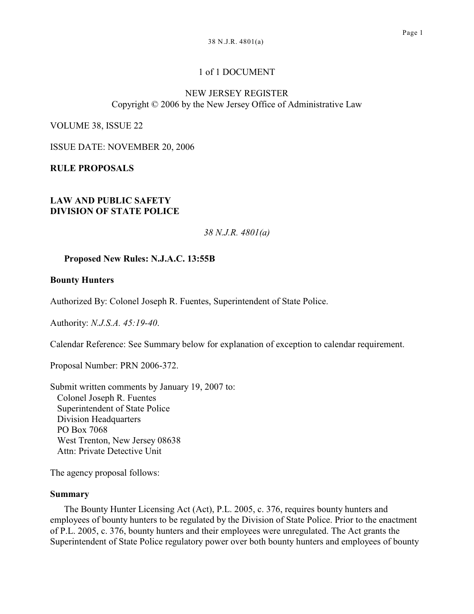# 1 of 1 DOCUMENT

### NEW JERSEY REGISTER Copyright © 2006 by the New Jersey Office of Administrative Law

VOLUME 38, ISSUE 22

ISSUE DATE: NOVEMBER 20, 2006

**RULE PROPOSALS**

### **LAW AND PUBLIC SAFETY DIVISION OF STATE POLICE**

*38 N.J.R. 4801(a)*

## **Proposed New Rules: N.J.A.C. 13:55B**

### **Bounty Hunters**

Authorized By: Colonel Joseph R. Fuentes, Superintendent of State Police.

Authority: *N.J.S.A. 45:19-40*.

Calendar Reference: See Summary below for explanation of exception to calendar requirement.

Proposal Number: PRN 2006-372.

Submit written comments by January 19, 2007 to: Colonel Joseph R. Fuentes Superintendent of State Police Division Headquarters PO Box 7068 West Trenton, New Jersey 08638 Attn: Private Detective Unit

The agency proposal follows:

### **Summary**

The Bounty Hunter Licensing Act (Act), P.L. 2005, c. 376, requires bounty hunters and employees of bounty hunters to be regulated by the Division of State Police. Prior to the enactment of P.L. 2005, c. 376, bounty hunters and their employees were unregulated. The Act grants the Superintendent of State Police regulatory power over both bounty hunters and employees of bounty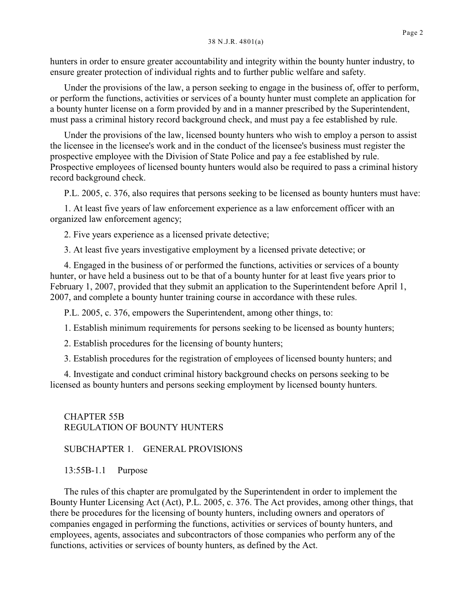hunters in order to ensure greater accountability and integrity within the bounty hunter industry, to ensure greater protection of individual rights and to further public welfare and safety.

Under the provisions of the law, a person seeking to engage in the business of, offer to perform, or perform the functions, activities or services of a bounty hunter must complete an application for a bounty hunter license on a form provided by and in a manner prescribed by the Superintendent, must pass a criminal history record background check, and must pay a fee established by rule.

Under the provisions of the law, licensed bounty hunters who wish to employ a person to assist the licensee in the licensee's work and in the conduct of the licensee's business must register the prospective employee with the Division of State Police and pay a fee established by rule. Prospective employees of licensed bounty hunters would also be required to pass a criminal history record background check.

P.L. 2005, c. 376, also requires that persons seeking to be licensed as bounty hunters must have:

1. At least five years of law enforcement experience as a law enforcement officer with an organized law enforcement agency;

2. Five years experience as a licensed private detective;

3. At least five years investigative employment by a licensed private detective; or

4. Engaged in the business of or performed the functions, activities or services of a bounty hunter, or have held a business out to be that of a bounty hunter for at least five years prior to February 1, 2007, provided that they submit an application to the Superintendent before April 1, 2007, and complete a bounty hunter training course in accordance with these rules.

P.L. 2005, c. 376, empowers the Superintendent, among other things, to:

1. Establish minimum requirements for persons seeking to be licensed as bounty hunters;

2. Establish procedures for the licensing of bounty hunters;

3. Establish procedures for the registration of employees of licensed bounty hunters; and

4. Investigate and conduct criminal history background checks on persons seeking to be licensed as bounty hunters and persons seeking employment by licensed bounty hunters.

CHAPTER 55B REGULATION OF BOUNTY HUNTERS

SUBCHAPTER 1. GENERAL PROVISIONS

13:55B-1.1 Purpose

The rules of this chapter are promulgated by the Superintendent in order to implement the Bounty Hunter Licensing Act (Act), P.L. 2005, c. 376. The Act provides, among other things, that there be procedures for the licensing of bounty hunters, including owners and operators of companies engaged in performing the functions, activities or services of bounty hunters, and employees, agents, associates and subcontractors of those companies who perform any of the functions, activities or services of bounty hunters, as defined by the Act.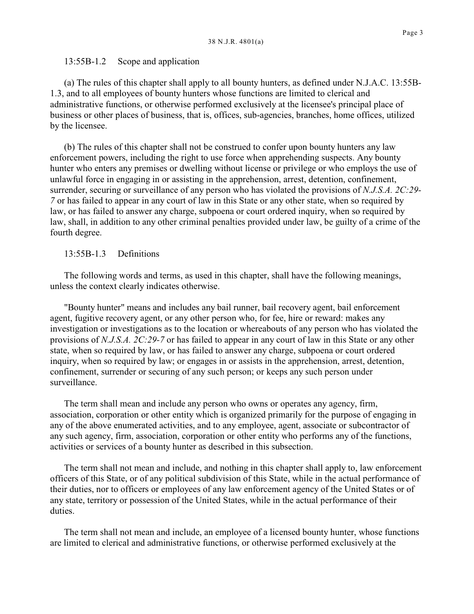### 13:55B-1.2 Scope and application

(a) The rules of this chapter shall apply to all bounty hunters, as defined under N.J.A.C. 13:55B-1.3, and to all employees of bounty hunters whose functions are limited to clerical and administrative functions, or otherwise performed exclusively at the licensee's principal place of business or other places of business, that is, offices, sub-agencies, branches, home offices, utilized by the licensee.

(b) The rules of this chapter shall not be construed to confer upon bounty hunters any law enforcement powers, including the right to use force when apprehending suspects. Any bounty hunter who enters any premises or dwelling without license or privilege or who employs the use of unlawful force in engaging in or assisting in the apprehension, arrest, detention, confinement, surrender, securing or surveillance of any person who has violated the provisions of *N.J.S.A. 2C:29- 7* or has failed to appear in any court of law in this State or any other state, when so required by law, or has failed to answer any charge, subpoena or court ordered inquiry, when so required by law, shall, in addition to any other criminal penalties provided under law, be guilty of a crime of the fourth degree.

### 13:55B-1.3 Definitions

The following words and terms, as used in this chapter, shall have the following meanings, unless the context clearly indicates otherwise.

"Bounty hunter" means and includes any bail runner, bail recovery agent, bail enforcement agent, fugitive recovery agent, or any other person who, for fee, hire or reward: makes any investigation or investigations as to the location or whereabouts of any person who has violated the provisions of *N.J.S.A. 2C:29-7* or has failed to appear in any court of law in this State or any other state, when so required by law, or has failed to answer any charge, subpoena or court ordered inquiry, when so required by law; or engages in or assists in the apprehension, arrest, detention, confinement, surrender or securing of any such person; or keeps any such person under surveillance.

The term shall mean and include any person who owns or operates any agency, firm, association, corporation or other entity which is organized primarily for the purpose of engaging in any of the above enumerated activities, and to any employee, agent, associate or subcontractor of any such agency, firm, association, corporation or other entity who performs any of the functions, activities or services of a bounty hunter as described in this subsection.

The term shall not mean and include, and nothing in this chapter shall apply to, law enforcement officers of this State, or of any political subdivision of this State, while in the actual performance of their duties, nor to officers or employees of any law enforcement agency of the United States or of any state, territory or possession of the United States, while in the actual performance of their duties.

The term shall not mean and include, an employee of a licensed bounty hunter, whose functions are limited to clerical and administrative functions, or otherwise performed exclusively at the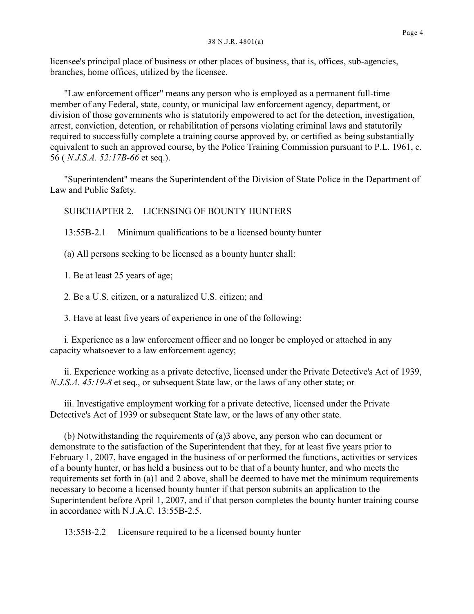licensee's principal place of business or other places of business, that is, offices, sub-agencies, branches, home offices, utilized by the licensee.

"Law enforcement officer" means any person who is employed as a permanent full-time member of any Federal, state, county, or municipal law enforcement agency, department, or division of those governments who is statutorily empowered to act for the detection, investigation, arrest, conviction, detention, or rehabilitation of persons violating criminal laws and statutorily required to successfully complete a training course approved by, or certified as being substantially equivalent to such an approved course, by the Police Training Commission pursuant to P.L. 1961, c. 56 ( *N.J.S.A. 52:17B-66* et seq.).

"Superintendent" means the Superintendent of the Division of State Police in the Department of Law and Public Safety.

SUBCHAPTER 2. LICENSING OF BOUNTY HUNTERS

13:55B-2.1 Minimum qualifications to be a licensed bounty hunter

(a) All persons seeking to be licensed as a bounty hunter shall:

1. Be at least 25 years of age;

2. Be a U.S. citizen, or a naturalized U.S. citizen; and

3. Have at least five years of experience in one of the following:

i. Experience as a law enforcement officer and no longer be employed or attached in any capacity whatsoever to a law enforcement agency;

ii. Experience working as a private detective, licensed under the Private Detective's Act of 1939, *N.J.S.A. 45:19-8* et seq., or subsequent State law, or the laws of any other state; or

iii. Investigative employment working for a private detective, licensed under the Private Detective's Act of 1939 or subsequent State law, or the laws of any other state.

(b) Notwithstanding the requirements of (a)3 above, any person who can document or demonstrate to the satisfaction of the Superintendent that they, for at least five years prior to February 1, 2007, have engaged in the business of or performed the functions, activities or services of a bounty hunter, or has held a business out to be that of a bounty hunter, and who meets the requirements set forth in (a)1 and 2 above, shall be deemed to have met the minimum requirements necessary to become a licensed bounty hunter if that person submits an application to the Superintendent before April 1, 2007, and if that person completes the bounty hunter training course in accordance with N.J.A.C. 13:55B-2.5.

13:55B-2.2 Licensure required to be a licensed bounty hunter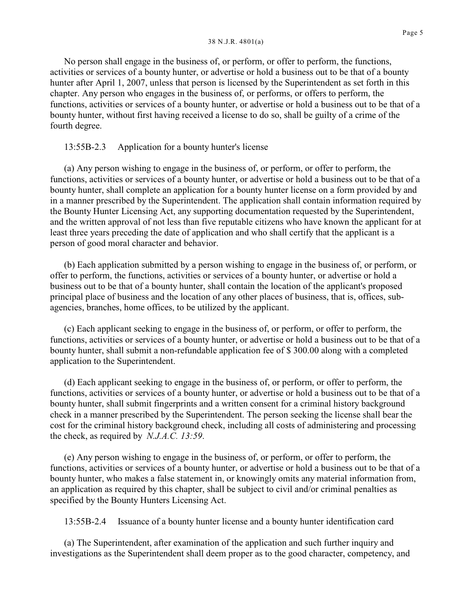No person shall engage in the business of, or perform, or offer to perform, the functions, activities or services of a bounty hunter, or advertise or hold a business out to be that of a bounty hunter after April 1, 2007, unless that person is licensed by the Superintendent as set forth in this chapter. Any person who engages in the business of, or performs, or offers to perform, the functions, activities or services of a bounty hunter, or advertise or hold a business out to be that of a bounty hunter, without first having received a license to do so, shall be guilty of a crime of the

### 13:55B-2.3 Application for a bounty hunter's license

fourth degree.

(a) Any person wishing to engage in the business of, or perform, or offer to perform, the functions, activities or services of a bounty hunter, or advertise or hold a business out to be that of a bounty hunter, shall complete an application for a bounty hunter license on a form provided by and in a manner prescribed by the Superintendent. The application shall contain information required by the Bounty Hunter Licensing Act, any supporting documentation requested by the Superintendent, and the written approval of not less than five reputable citizens who have known the applicant for at least three years preceding the date of application and who shall certify that the applicant is a person of good moral character and behavior.

(b) Each application submitted by a person wishing to engage in the business of, or perform, or offer to perform, the functions, activities or services of a bounty hunter, or advertise or hold a business out to be that of a bounty hunter, shall contain the location of the applicant's proposed principal place of business and the location of any other places of business, that is, offices, subagencies, branches, home offices, to be utilized by the applicant.

(c) Each applicant seeking to engage in the business of, or perform, or offer to perform, the functions, activities or services of a bounty hunter, or advertise or hold a business out to be that of a bounty hunter, shall submit a non-refundable application fee of \$ 300.00 along with a completed application to the Superintendent.

(d) Each applicant seeking to engage in the business of, or perform, or offer to perform, the functions, activities or services of a bounty hunter, or advertise or hold a business out to be that of a bounty hunter, shall submit fingerprints and a written consent for a criminal history background check in a manner prescribed by the Superintendent. The person seeking the license shall bear the cost for the criminal history background check, including all costs of administering and processing the check, as required by *N.J.A.C. 13:59*.

(e) Any person wishing to engage in the business of, or perform, or offer to perform, the functions, activities or services of a bounty hunter, or advertise or hold a business out to be that of a bounty hunter, who makes a false statement in, or knowingly omits any material information from, an application as required by this chapter, shall be subject to civil and/or criminal penalties as specified by the Bounty Hunters Licensing Act.

13:55B-2.4 Issuance of a bounty hunter license and a bounty hunter identification card

(a) The Superintendent, after examination of the application and such further inquiry and investigations as the Superintendent shall deem proper as to the good character, competency, and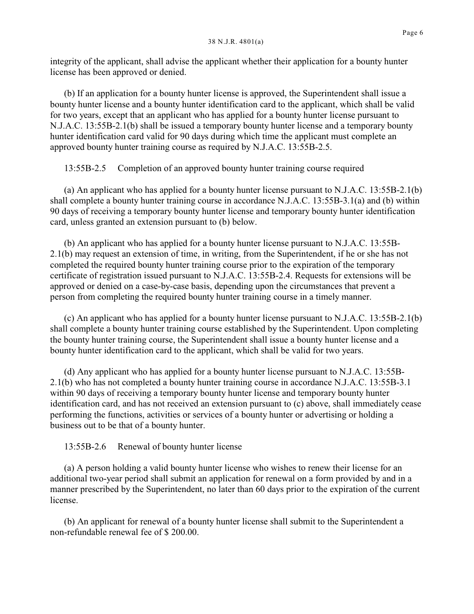integrity of the applicant, shall advise the applicant whether their application for a bounty hunter license has been approved or denied.

(b) If an application for a bounty hunter license is approved, the Superintendent shall issue a bounty hunter license and a bounty hunter identification card to the applicant, which shall be valid for two years, except that an applicant who has applied for a bounty hunter license pursuant to N.J.A.C. 13:55B-2.1(b) shall be issued a temporary bounty hunter license and a temporary bounty hunter identification card valid for 90 days during which time the applicant must complete an approved bounty hunter training course as required by N.J.A.C. 13:55B-2.5.

13:55B-2.5 Completion of an approved bounty hunter training course required

(a) An applicant who has applied for a bounty hunter license pursuant to N.J.A.C. 13:55B-2.1(b) shall complete a bounty hunter training course in accordance N.J.A.C. 13:55B-3.1(a) and (b) within 90 days of receiving a temporary bounty hunter license and temporary bounty hunter identification card, unless granted an extension pursuant to (b) below.

(b) An applicant who has applied for a bounty hunter license pursuant to N.J.A.C. 13:55B-2.1(b) may request an extension of time, in writing, from the Superintendent, if he or she has not completed the required bounty hunter training course prior to the expiration of the temporary certificate of registration issued pursuant to N.J.A.C. 13:55B-2.4. Requests for extensions will be approved or denied on a case-by-case basis, depending upon the circumstances that prevent a person from completing the required bounty hunter training course in a timely manner.

(c) An applicant who has applied for a bounty hunter license pursuant to N.J.A.C. 13:55B-2.1(b) shall complete a bounty hunter training course established by the Superintendent. Upon completing the bounty hunter training course, the Superintendent shall issue a bounty hunter license and a bounty hunter identification card to the applicant, which shall be valid for two years.

(d) Any applicant who has applied for a bounty hunter license pursuant to N.J.A.C. 13:55B-2.1(b) who has not completed a bounty hunter training course in accordance N.J.A.C. 13:55B-3.1 within 90 days of receiving a temporary bounty hunter license and temporary bounty hunter identification card, and has not received an extension pursuant to (c) above, shall immediately cease performing the functions, activities or services of a bounty hunter or advertising or holding a business out to be that of a bounty hunter.

13:55B-2.6 Renewal of bounty hunter license

(a) A person holding a valid bounty hunter license who wishes to renew their license for an additional two-year period shall submit an application for renewal on a form provided by and in a manner prescribed by the Superintendent, no later than 60 days prior to the expiration of the current license.

(b) An applicant for renewal of a bounty hunter license shall submit to the Superintendent a non-refundable renewal fee of \$ 200.00.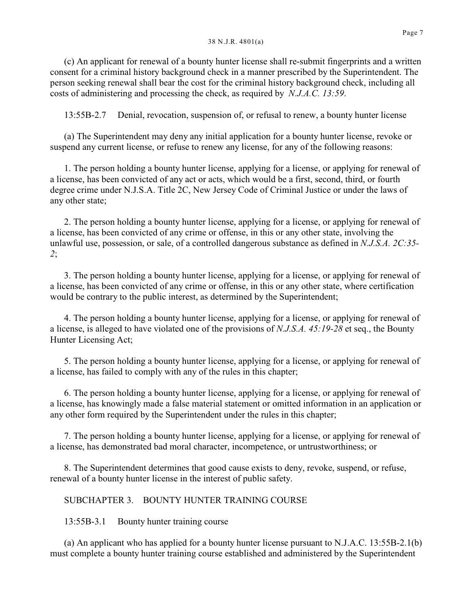(c) An applicant for renewal of a bounty hunter license shall re-submit fingerprints and a written consent for a criminal history background check in a manner prescribed by the Superintendent. The person seeking renewal shall bear the cost for the criminal history background check, including all costs of administering and processing the check, as required by *N.J.A.C. 13:59*.

13:55B-2.7 Denial, revocation, suspension of, or refusal to renew, a bounty hunter license

(a) The Superintendent may deny any initial application for a bounty hunter license, revoke or suspend any current license, or refuse to renew any license, for any of the following reasons:

1. The person holding a bounty hunter license, applying for a license, or applying for renewal of a license, has been convicted of any act or acts, which would be a first, second, third, or fourth degree crime under N.J.S.A. Title 2C, New Jersey Code of Criminal Justice or under the laws of any other state;

2. The person holding a bounty hunter license, applying for a license, or applying for renewal of a license, has been convicted of any crime or offense, in this or any other state, involving the unlawful use, possession, or sale, of a controlled dangerous substance as defined in *N.J.S.A. 2C:35- 2*;

3. The person holding a bounty hunter license, applying for a license, or applying for renewal of a license, has been convicted of any crime or offense, in this or any other state, where certification would be contrary to the public interest, as determined by the Superintendent;

4. The person holding a bounty hunter license, applying for a license, or applying for renewal of a license, is alleged to have violated one of the provisions of *N.J.S.A. 45:19-28* et seq., the Bounty Hunter Licensing Act;

5. The person holding a bounty hunter license, applying for a license, or applying for renewal of a license, has failed to comply with any of the rules in this chapter;

6. The person holding a bounty hunter license, applying for a license, or applying for renewal of a license, has knowingly made a false material statement or omitted information in an application or any other form required by the Superintendent under the rules in this chapter;

7. The person holding a bounty hunter license, applying for a license, or applying for renewal of a license, has demonstrated bad moral character, incompetence, or untrustworthiness; or

8. The Superintendent determines that good cause exists to deny, revoke, suspend, or refuse, renewal of a bounty hunter license in the interest of public safety.

## SUBCHAPTER 3. BOUNTY HUNTER TRAINING COURSE

13:55B-3.1 Bounty hunter training course

(a) An applicant who has applied for a bounty hunter license pursuant to N.J.A.C. 13:55B-2.1(b) must complete a bounty hunter training course established and administered by the Superintendent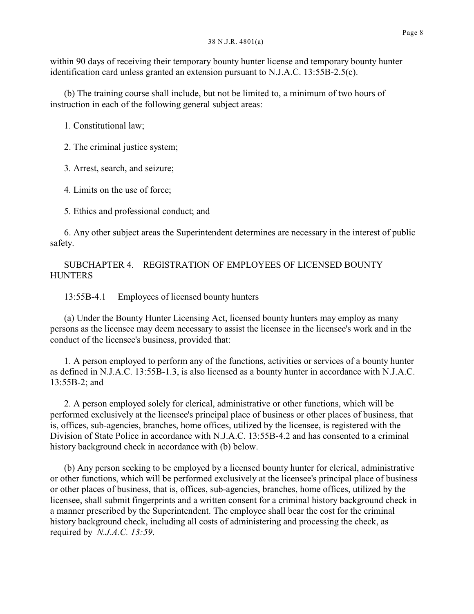within 90 days of receiving their temporary bounty hunter license and temporary bounty hunter identification card unless granted an extension pursuant to N.J.A.C. 13:55B-2.5(c).

(b) The training course shall include, but not be limited to, a minimum of two hours of instruction in each of the following general subject areas:

1. Constitutional law;

2. The criminal justice system;

3. Arrest, search, and seizure;

4. Limits on the use of force;

5. Ethics and professional conduct; and

6. Any other subject areas the Superintendent determines are necessary in the interest of public safety.

SUBCHAPTER 4. REGISTRATION OF EMPLOYEES OF LICENSED BOUNTY **HUNTERS** 

13:55B-4.1 Employees of licensed bounty hunters

(a) Under the Bounty Hunter Licensing Act, licensed bounty hunters may employ as many persons as the licensee may deem necessary to assist the licensee in the licensee's work and in the conduct of the licensee's business, provided that:

1. A person employed to perform any of the functions, activities or services of a bounty hunter as defined in N.J.A.C. 13:55B-1.3, is also licensed as a bounty hunter in accordance with N.J.A.C. 13:55B-2; and

2. A person employed solely for clerical, administrative or other functions, which will be performed exclusively at the licensee's principal place of business or other places of business, that is, offices, sub-agencies, branches, home offices, utilized by the licensee, is registered with the Division of State Police in accordance with N.J.A.C. 13:55B-4.2 and has consented to a criminal history background check in accordance with (b) below.

(b) Any person seeking to be employed by a licensed bounty hunter for clerical, administrative or other functions, which will be performed exclusively at the licensee's principal place of business or other places of business, that is, offices, sub-agencies, branches, home offices, utilized by the licensee, shall submit fingerprints and a written consent for a criminal history background check in a manner prescribed by the Superintendent. The employee shall bear the cost for the criminal history background check, including all costs of administering and processing the check, as required by *N.J.A.C. 13:59*.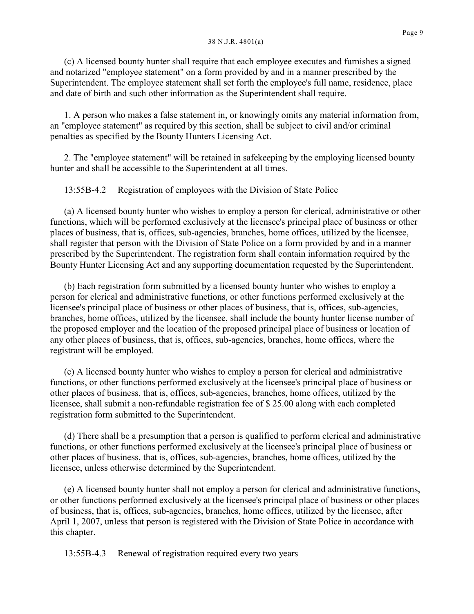(c) A licensed bounty hunter shall require that each employee executes and furnishes a signed and notarized "employee statement" on a form provided by and in a manner prescribed by the Superintendent. The employee statement shall set forth the employee's full name, residence, place and date of birth and such other information as the Superintendent shall require.

1. A person who makes a false statement in, or knowingly omits any material information from, an "employee statement" as required by this section, shall be subject to civil and/or criminal penalties as specified by the Bounty Hunters Licensing Act.

2. The "employee statement" will be retained in safekeeping by the employing licensed bounty hunter and shall be accessible to the Superintendent at all times.

13:55B-4.2 Registration of employees with the Division of State Police

(a) A licensed bounty hunter who wishes to employ a person for clerical, administrative or other functions, which will be performed exclusively at the licensee's principal place of business or other places of business, that is, offices, sub-agencies, branches, home offices, utilized by the licensee, shall register that person with the Division of State Police on a form provided by and in a manner prescribed by the Superintendent. The registration form shall contain information required by the Bounty Hunter Licensing Act and any supporting documentation requested by the Superintendent.

(b) Each registration form submitted by a licensed bounty hunter who wishes to employ a person for clerical and administrative functions, or other functions performed exclusively at the licensee's principal place of business or other places of business, that is, offices, sub-agencies, branches, home offices, utilized by the licensee, shall include the bounty hunter license number of the proposed employer and the location of the proposed principal place of business or location of any other places of business, that is, offices, sub-agencies, branches, home offices, where the registrant will be employed.

(c) A licensed bounty hunter who wishes to employ a person for clerical and administrative functions, or other functions performed exclusively at the licensee's principal place of business or other places of business, that is, offices, sub-agencies, branches, home offices, utilized by the licensee, shall submit a non-refundable registration fee of \$ 25.00 along with each completed registration form submitted to the Superintendent.

(d) There shall be a presumption that a person is qualified to perform clerical and administrative functions, or other functions performed exclusively at the licensee's principal place of business or other places of business, that is, offices, sub-agencies, branches, home offices, utilized by the licensee, unless otherwise determined by the Superintendent.

(e) A licensed bounty hunter shall not employ a person for clerical and administrative functions, or other functions performed exclusively at the licensee's principal place of business or other places of business, that is, offices, sub-agencies, branches, home offices, utilized by the licensee, after April 1, 2007, unless that person is registered with the Division of State Police in accordance with this chapter.

13:55B-4.3 Renewal of registration required every two years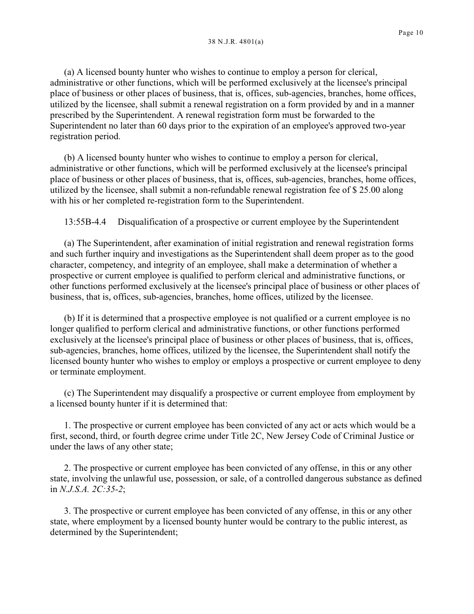(a) A licensed bounty hunter who wishes to continue to employ a person for clerical, administrative or other functions, which will be performed exclusively at the licensee's principal place of business or other places of business, that is, offices, sub-agencies, branches, home offices, utilized by the licensee, shall submit a renewal registration on a form provided by and in a manner prescribed by the Superintendent. A renewal registration form must be forwarded to the Superintendent no later than 60 days prior to the expiration of an employee's approved two-year registration period.

(b) A licensed bounty hunter who wishes to continue to employ a person for clerical, administrative or other functions, which will be performed exclusively at the licensee's principal place of business or other places of business, that is, offices, sub-agencies, branches, home offices, utilized by the licensee, shall submit a non-refundable renewal registration fee of \$ 25.00 along with his or her completed re-registration form to the Superintendent.

13:55B-4.4 Disqualification of a prospective or current employee by the Superintendent

(a) The Superintendent, after examination of initial registration and renewal registration forms and such further inquiry and investigations as the Superintendent shall deem proper as to the good character, competency, and integrity of an employee, shall make a determination of whether a prospective or current employee is qualified to perform clerical and administrative functions, or other functions performed exclusively at the licensee's principal place of business or other places of business, that is, offices, sub-agencies, branches, home offices, utilized by the licensee.

(b) If it is determined that a prospective employee is not qualified or a current employee is no longer qualified to perform clerical and administrative functions, or other functions performed exclusively at the licensee's principal place of business or other places of business, that is, offices, sub-agencies, branches, home offices, utilized by the licensee, the Superintendent shall notify the licensed bounty hunter who wishes to employ or employs a prospective or current employee to deny or terminate employment.

(c) The Superintendent may disqualify a prospective or current employee from employment by a licensed bounty hunter if it is determined that:

1. The prospective or current employee has been convicted of any act or acts which would be a first, second, third, or fourth degree crime under Title 2C, New Jersey Code of Criminal Justice or under the laws of any other state;

2. The prospective or current employee has been convicted of any offense, in this or any other state, involving the unlawful use, possession, or sale, of a controlled dangerous substance as defined in *N.J.S.A. 2C:35-2*;

3. The prospective or current employee has been convicted of any offense, in this or any other state, where employment by a licensed bounty hunter would be contrary to the public interest, as determined by the Superintendent;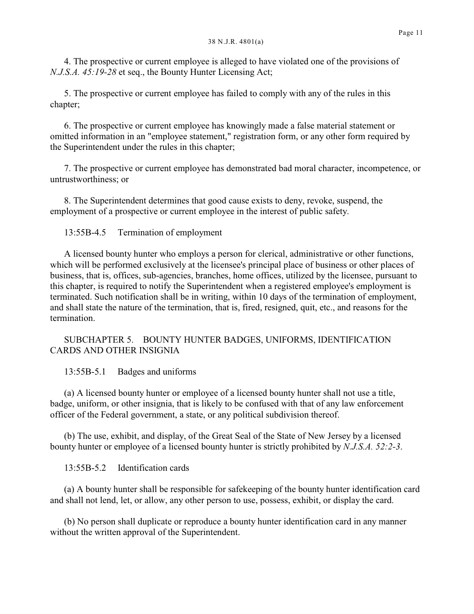4. The prospective or current employee is alleged to have violated one of the provisions of *N.J.S.A. 45:19-28* et seq., the Bounty Hunter Licensing Act;

5. The prospective or current employee has failed to comply with any of the rules in this chapter;

6. The prospective or current employee has knowingly made a false material statement or omitted information in an "employee statement," registration form, or any other form required by the Superintendent under the rules in this chapter;

7. The prospective or current employee has demonstrated bad moral character, incompetence, or untrustworthiness; or

8. The Superintendent determines that good cause exists to deny, revoke, suspend, the employment of a prospective or current employee in the interest of public safety.

13:55B-4.5 Termination of employment

A licensed bounty hunter who employs a person for clerical, administrative or other functions, which will be performed exclusively at the licensee's principal place of business or other places of business, that is, offices, sub-agencies, branches, home offices, utilized by the licensee, pursuant to this chapter, is required to notify the Superintendent when a registered employee's employment is terminated. Such notification shall be in writing, within 10 days of the termination of employment, and shall state the nature of the termination, that is, fired, resigned, quit, etc., and reasons for the termination.

# SUBCHAPTER 5. BOUNTY HUNTER BADGES, UNIFORMS, IDENTIFICATION CARDS AND OTHER INSIGNIA

13:55B-5.1 Badges and uniforms

(a) A licensed bounty hunter or employee of a licensed bounty hunter shall not use a title, badge, uniform, or other insignia, that is likely to be confused with that of any law enforcement officer of the Federal government, a state, or any political subdivision thereof.

(b) The use, exhibit, and display, of the Great Seal of the State of New Jersey by a licensed bounty hunter or employee of a licensed bounty hunter is strictly prohibited by *N.J.S.A. 52:2-3*.

13:55B-5.2 Identification cards

(a) A bounty hunter shall be responsible for safekeeping of the bounty hunter identification card and shall not lend, let, or allow, any other person to use, possess, exhibit, or display the card.

(b) No person shall duplicate or reproduce a bounty hunter identification card in any manner without the written approval of the Superintendent.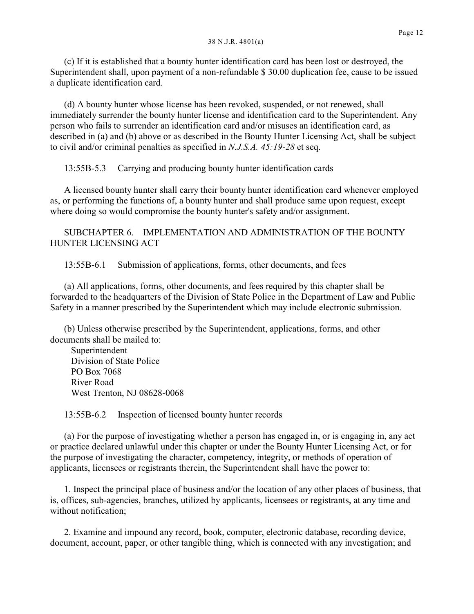(c) If it is established that a bounty hunter identification card has been lost or destroyed, the Superintendent shall, upon payment of a non-refundable \$ 30.00 duplication fee, cause to be issued a duplicate identification card.

(d) A bounty hunter whose license has been revoked, suspended, or not renewed, shall immediately surrender the bounty hunter license and identification card to the Superintendent. Any person who fails to surrender an identification card and/or misuses an identification card, as described in (a) and (b) above or as described in the Bounty Hunter Licensing Act, shall be subject to civil and/or criminal penalties as specified in *N.J.S.A. 45:19-28* et seq.

13:55B-5.3 Carrying and producing bounty hunter identification cards

A licensed bounty hunter shall carry their bounty hunter identification card whenever employed as, or performing the functions of, a bounty hunter and shall produce same upon request, except where doing so would compromise the bounty hunter's safety and/or assignment.

SUBCHAPTER 6. IMPLEMENTATION AND ADMINISTRATION OF THE BOUNTY HUNTER LICENSING ACT

13:55B-6.1 Submission of applications, forms, other documents, and fees

(a) All applications, forms, other documents, and fees required by this chapter shall be forwarded to the headquarters of the Division of State Police in the Department of Law and Public Safety in a manner prescribed by the Superintendent which may include electronic submission.

(b) Unless otherwise prescribed by the Superintendent, applications, forms, and other documents shall be mailed to:

 Superintendent Division of State Police PO Box 7068 River Road West Trenton, NJ 08628-0068

13:55B-6.2 Inspection of licensed bounty hunter records

(a) For the purpose of investigating whether a person has engaged in, or is engaging in, any act or practice declared unlawful under this chapter or under the Bounty Hunter Licensing Act, or for the purpose of investigating the character, competency, integrity, or methods of operation of applicants, licensees or registrants therein, the Superintendent shall have the power to:

1. Inspect the principal place of business and/or the location of any other places of business, that is, offices, sub-agencies, branches, utilized by applicants, licensees or registrants, at any time and without notification;

2. Examine and impound any record, book, computer, electronic database, recording device, document, account, paper, or other tangible thing, which is connected with any investigation; and